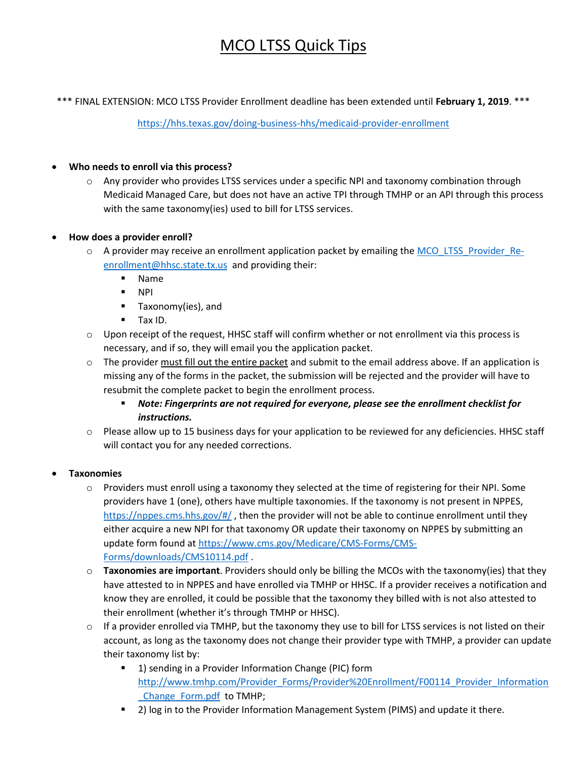## MCO LTSS Quick Tips

\*\*\* FINAL EXTENSION: MCO LTSS Provider Enrollment deadline has been extended until **February 1, 2019**. \*\*\*

<https://hhs.texas.gov/doing-business-hhs/medicaid-provider-enrollment>

## **Who needs to enroll via this process?**

 $\circ$  Any provider who provides LTSS services under a specific NPI and taxonomy combination through Medicaid Managed Care, but does not have an active TPI through TMHP or an API through this process with the same taxonomy(ies) used to bill for LTSS services.

## **How does a provider enroll?**

- o A provider may receive an enrollment application packet by emailing the [MCO\\_LTSS\\_Provider\\_Re](mailto:MCO_LTSS_Provider_Re-enrollment@hhsc.state.tx.us)[enrollment@hhsc.state.tx.us](mailto:MCO_LTSS_Provider_Re-enrollment@hhsc.state.tx.us) and providing their:
	- Name
	- NPI
	- **Taxonomy(ies), and**
	- **Tax ID.**
- $\circ$  Upon receipt of the request, HHSC staff will confirm whether or not enrollment via this process is necessary, and if so, they will email you the application packet.
- $\circ$  The provider must fill out the entire packet and submit to the email address above. If an application is missing any of the forms in the packet, the submission will be rejected and the provider will have to resubmit the complete packet to begin the enrollment process.
	- *Note: Fingerprints are not required for everyone, please see the enrollment checklist for instructions.*
- o Please allow up to 15 business days for your application to be reviewed for any deficiencies. HHSC staff will contact you for any needed corrections.

## **Taxonomies**

- $\circ$  Providers must enroll using a taxonomy they selected at the time of registering for their NPI. Some providers have 1 (one), others have multiple taxonomies. If the taxonomy is not present in NPPES, <https://nppes.cms.hhs.gov/#/>, then the provider will not be able to continue enrollment until they either acquire a new NPI for that taxonomy OR update their taxonomy on NPPES by submitting an update form found at [https://www.cms.gov/Medicare/CMS-Forms/CMS-](https://www.cms.gov/Medicare/CMS-Forms/CMS-Forms/downloads/CMS10114.pdf)[Forms/downloads/CMS10114.pdf](https://www.cms.gov/Medicare/CMS-Forms/CMS-Forms/downloads/CMS10114.pdf) .
- o **Taxonomies are important**. Providers should only be billing the MCOs with the taxonomy(ies) that they have attested to in NPPES and have enrolled via TMHP or HHSC. If a provider receives a notification and know they are enrolled, it could be possible that the taxonomy they billed with is not also attested to their enrollment (whether it's through TMHP or HHSC).
- $\circ$  If a provider enrolled via TMHP, but the taxonomy they use to bill for LTSS services is not listed on their account, as long as the taxonomy does not change their provider type with TMHP, a provider can update their taxonomy list by:
	- 1) sending in a Provider Information Change (PIC) form [http://www.tmhp.com/Provider\\_Forms/Provider%20Enrollment/F00114\\_Provider\\_Information](http://www.tmhp.com/Provider_Forms/Provider%20Enrollment/F00114_Provider_Information_Change_Form.pdf) [\\_Change\\_Form.pdf](http://www.tmhp.com/Provider_Forms/Provider%20Enrollment/F00114_Provider_Information_Change_Form.pdf) to TMHP;
	- 2) log in to the Provider Information Management System (PIMS) and update it there.